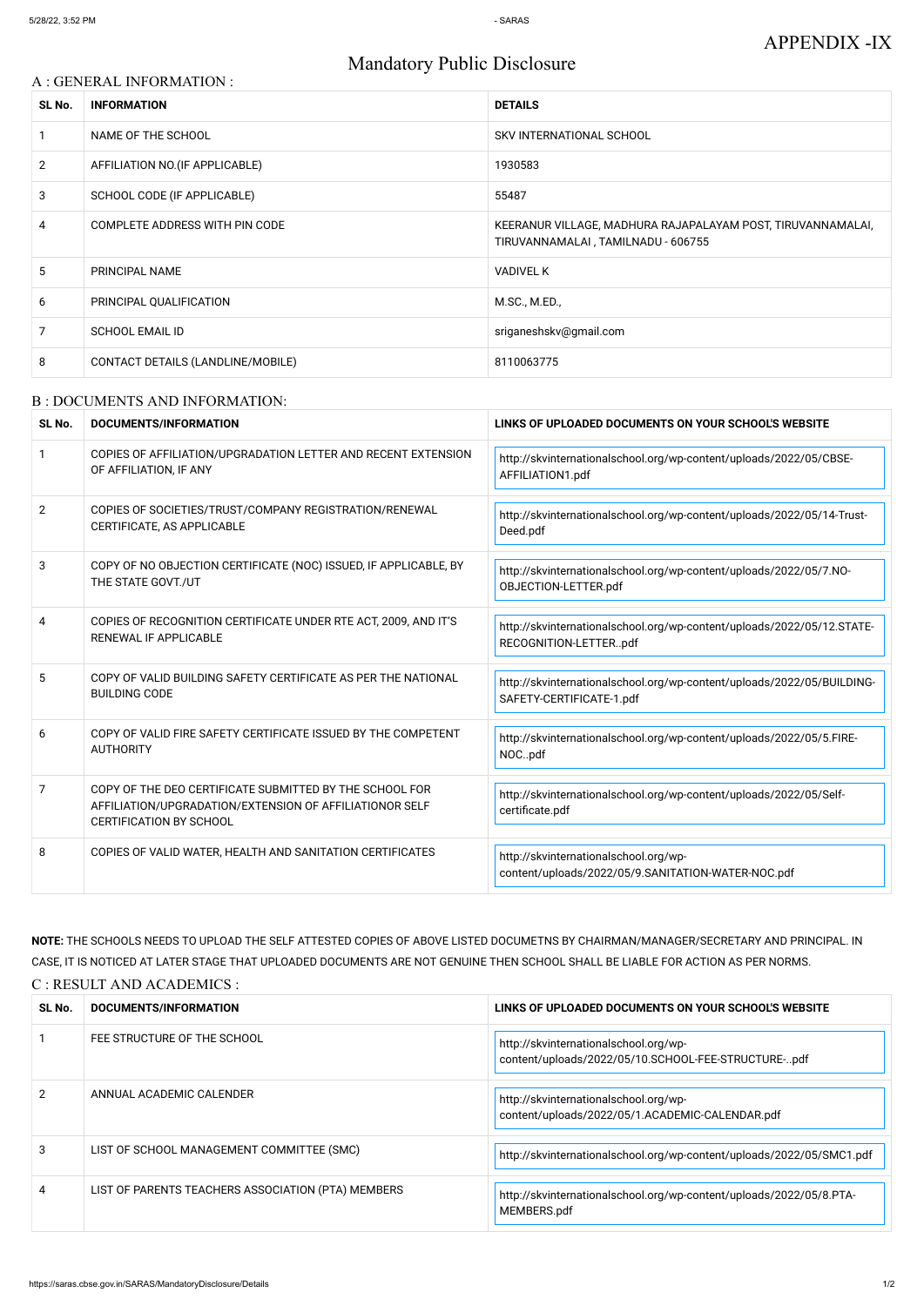# Mandatory Public Disclosure

## A : GENERAL INFORMATION :

| SL No.         | <b>INFORMATION</b>                | <b>DETAILS</b>                                                                                    |
|----------------|-----------------------------------|---------------------------------------------------------------------------------------------------|
|                | NAME OF THE SCHOOL                | SKV INTERNATIONAL SCHOOL                                                                          |
| $\overline{2}$ | AFFILIATION NO. (IF APPLICABLE)   | 1930583                                                                                           |
| 3              | SCHOOL CODE (IF APPLICABLE)       | 55487                                                                                             |
| 4              | COMPLETE ADDRESS WITH PIN CODE    | KEERANUR VILLAGE, MADHURA RAJAPALAYAM POST, TIRUVANNAMALAI,<br>TIRUVANNAMALAI, TAMILNADU - 606755 |
| 5              | PRINCIPAL NAME                    | <b>VADIVEL K</b>                                                                                  |
| 6              | PRINCIPAL QUALIFICATION           | M.SC., M.ED.,                                                                                     |
| 7              | <b>SCHOOL EMAIL ID</b>            | sriganeshskv@gmail.com                                                                            |
| 8              | CONTACT DETAILS (LANDLINE/MOBILE) | 8110063775                                                                                        |

#### B : DOCUMENTS AND INFORMATION:

| SL No.         | DOCUMENTS/INFORMATION                                                                                                                                | LINKS OF UPLOADED DOCUMENTS ON YOUR SCHOOL'S WEBSITE                                               |
|----------------|------------------------------------------------------------------------------------------------------------------------------------------------------|----------------------------------------------------------------------------------------------------|
| $\mathbf{1}$   | COPIES OF AFFILIATION/UPGRADATION LETTER AND RECENT EXTENSION<br>OF AFFILIATION, IF ANY                                                              | http://skvinternationalschool.org/wp-content/uploads/2022/05/CBSE-<br>AFFILIATION1.pdf             |
| $\overline{2}$ | COPIES OF SOCIETIES/TRUST/COMPANY REGISTRATION/RENEWAL<br>CERTIFICATE, AS APPLICABLE                                                                 | http://skvinternationalschool.org/wp-content/uploads/2022/05/14-Trust-<br>Deed.pdf                 |
| 3              | COPY OF NO OBJECTION CERTIFICATE (NOC) ISSUED, IF APPLICABLE, BY<br>THE STATE GOVT./UT                                                               | http://skvinternationalschool.org/wp-content/uploads/2022/05/7.NO-<br>OBJECTION-LETTER.pdf         |
| 4              | COPIES OF RECOGNITION CERTIFICATE UNDER RTE ACT, 2009, AND IT'S<br><b>RENEWAL IF APPLICABLE</b>                                                      | http://skvinternationalschool.org/wp-content/uploads/2022/05/12.STATE-<br>RECOGNITION-LETTERpdf    |
| 5              | COPY OF VALID BUILDING SAFETY CERTIFICATE AS PER THE NATIONAL<br><b>BUILDING CODE</b>                                                                | http://skvinternationalschool.org/wp-content/uploads/2022/05/BUILDING-<br>SAFETY-CERTIFICATE-1.pdf |
| 6              | COPY OF VALID FIRE SAFETY CERTIFICATE ISSUED BY THE COMPETENT<br><b>AUTHORITY</b>                                                                    | http://skvinternationalschool.org/wp-content/uploads/2022/05/5.FIRE-<br>NOCpdf                     |
| 7              | COPY OF THE DEO CERTIFICATE SUBMITTED BY THE SCHOOL FOR<br>AFFILIATION/UPGRADATION/EXTENSION OF AFFILIATIONOR SELF<br><b>CERTIFICATION BY SCHOOL</b> | http://skvinternationalschool.org/wp-content/uploads/2022/05/Self-<br>certificate.pdf              |
| 8              | COPIES OF VALID WATER, HEALTH AND SANITATION CERTIFICATES                                                                                            | http://skvinternationalschool.org/wp-<br>content/uploads/2022/05/9.SANITATION-WATER-NOC.pdf        |

**NOTE:** THE SCHOOLS NEEDS TO UPLOAD THE SELF ATTESTED COPIES OF ABOVE LISTED DOCUMETNS BY CHAIRMAN/MANAGER/SECRETARY AND PRINCIPAL. IN CASE, IT IS NOTICED AT LATER STAGE THAT UPLOADED DOCUMENTS ARE NOT GENUINE THEN SCHOOL SHALL BE LIABLE FOR ACTION AS PER NORMS. C : RESULT AND ACADEMICS :

| SL No.        | DOCUMENTS/INFORMATION                              | LINKS OF UPLOADED DOCUMENTS ON YOUR SCHOOL'S WEBSITE                                         |
|---------------|----------------------------------------------------|----------------------------------------------------------------------------------------------|
|               | FEE STRUCTURE OF THE SCHOOL                        | http://skvinternationalschool.org/wp-<br>content/uploads/2022/05/10.SCHOOL-FEE-STRUCTURE-pdf |
| $\mathcal{P}$ | ANNUAL ACADEMIC CALENDER                           | http://skvinternationalschool.org/wp-<br>content/uploads/2022/05/1.ACADEMIC-CALENDAR.pdf     |
| 3             | LIST OF SCHOOL MANAGEMENT COMMITTEE (SMC)          | http://skvinternationalschool.org/wp-content/uploads/2022/05/SMC1.pdf                        |
| 4             | LIST OF PARENTS TEACHERS ASSOCIATION (PTA) MEMBERS | http://skvinternationalschool.org/wp-content/uploads/2022/05/8.PTA-<br>MEMBERS.pdf           |